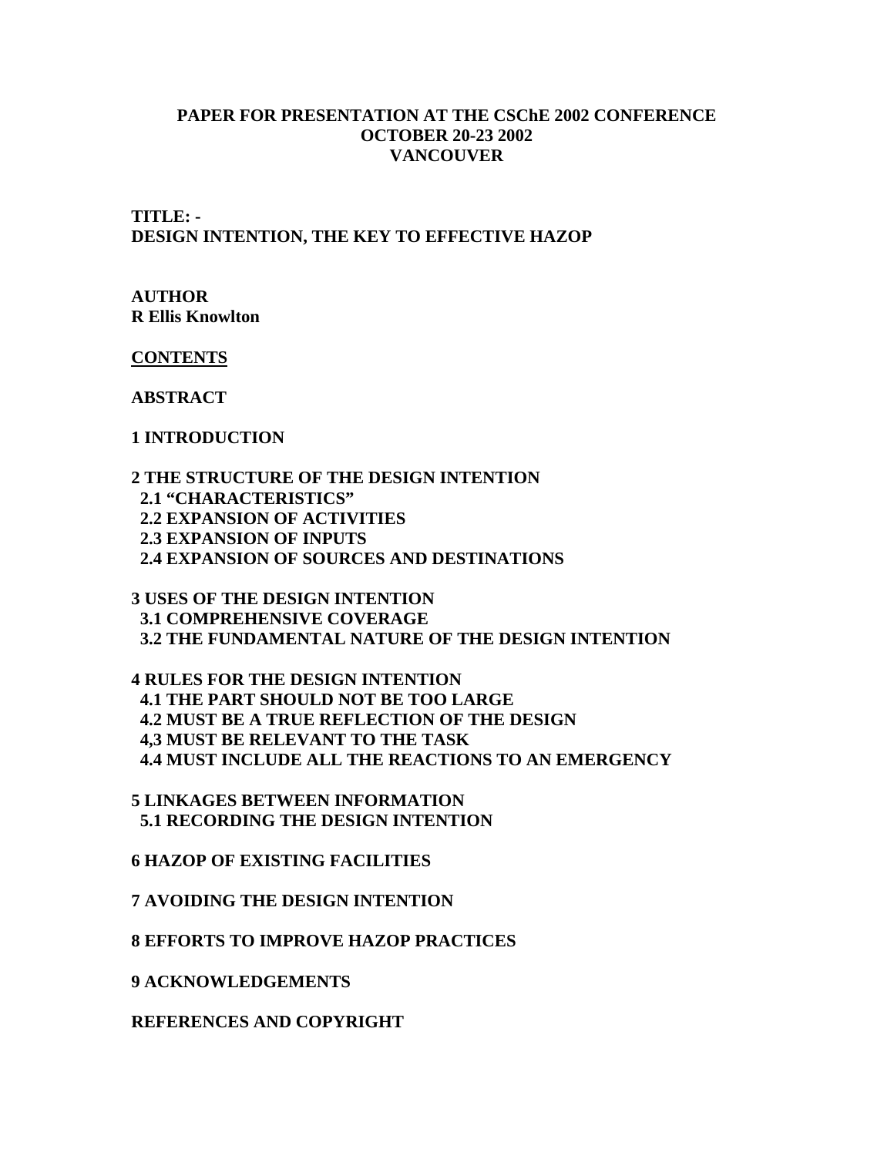#### **PAPER FOR PRESENTATION AT THE CSChE 2002 CONFERENCE OCTOBER 20-23 2002 VANCOUVER**

**TITLE: - DESIGN INTENTION, THE KEY TO EFFECTIVE HAZOP**

#### **AUTHOR R Ellis Knowlton**

**CONTENTS**

**ABSTRACT**

#### **1 INTRODUCTION**

**2 THE STRUCTURE OF THE DESIGN INTENTION 2.1 "CHARACTERISTICS" 2.2 EXPANSION OF ACTIVITIES 2.3 EXPANSION OF INPUTS 2.4 EXPANSION OF SOURCES AND DESTINATIONS**

**3 USES OF THE DESIGN INTENTION 3.1 COMPREHENSIVE COVERAGE 3.2 THE FUNDAMENTAL NATURE OF THE DESIGN INTENTION**

**4 RULES FOR THE DESIGN INTENTION 4.1 THE PART SHOULD NOT BE TOO LARGE 4.2 MUST BE A TRUE REFLECTION OF THE DESIGN 4,3 MUST BE RELEVANT TO THE TASK 4.4 MUST INCLUDE ALL THE REACTIONS TO AN EMERGENCY**

**5 LINKAGES BETWEEN INFORMATION 5.1 RECORDING THE DESIGN INTENTION**

**6 HAZOP OF EXISTING FACILITIES**

**7 AVOIDING THE DESIGN INTENTION**

**8 EFFORTS TO IMPROVE HAZOP PRACTICES**

**9 ACKNOWLEDGEMENTS**

**REFERENCES AND COPYRIGHT**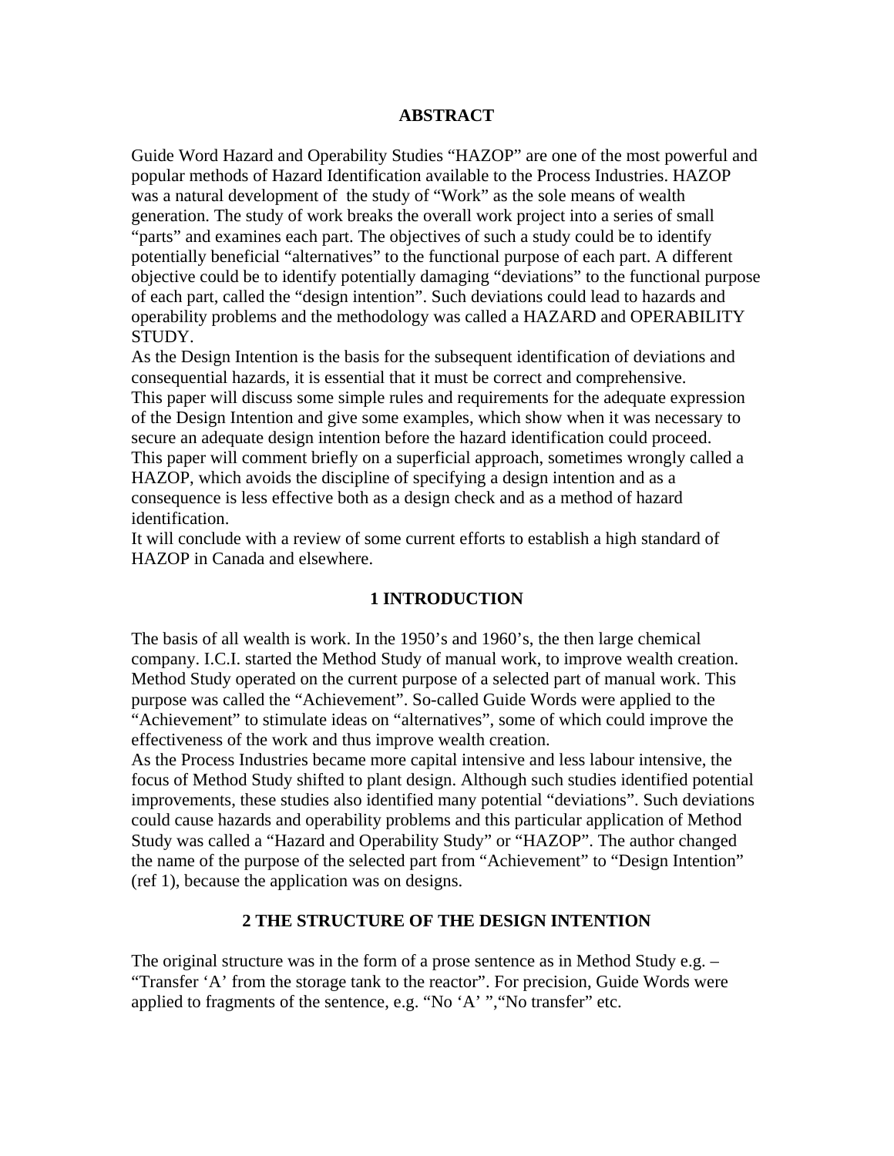#### **ABSTRACT**

Guide Word Hazard and Operability Studies "HAZOP" are one of the most powerful and popular methods of Hazard Identification available to the Process Industries. HAZOP was a natural development of the study of "Work" as the sole means of wealth generation. The study of work breaks the overall work project into a series of small "parts" and examines each part. The objectives of such a study could be to identify potentially beneficial "alternatives" to the functional purpose of each part. A different objective could be to identify potentially damaging "deviations" to the functional purpose of each part, called the "design intention". Such deviations could lead to hazards and operability problems and the methodology was called a HAZARD and OPERABILITY STUDY.

As the Design Intention is the basis for the subsequent identification of deviations and consequential hazards, it is essential that it must be correct and comprehensive. This paper will discuss some simple rules and requirements for the adequate expression of the Design Intention and give some examples, which show when it was necessary to secure an adequate design intention before the hazard identification could proceed. This paper will comment briefly on a superficial approach, sometimes wrongly called a HAZOP, which avoids the discipline of specifying a design intention and as a consequence is less effective both as a design check and as a method of hazard identification.

It will conclude with a review of some current efforts to establish a high standard of HAZOP in Canada and elsewhere.

#### **1 INTRODUCTION**

The basis of all wealth is work. In the 1950's and 1960's, the then large chemical company. I.C.I. started the Method Study of manual work, to improve wealth creation. Method Study operated on the current purpose of a selected part of manual work. This purpose was called the "Achievement". So-called Guide Words were applied to the "Achievement" to stimulate ideas on "alternatives", some of which could improve the effectiveness of the work and thus improve wealth creation.

As the Process Industries became more capital intensive and less labour intensive, the focus of Method Study shifted to plant design. Although such studies identified potential improvements, these studies also identified many potential "deviations". Such deviations could cause hazards and operability problems and this particular application of Method Study was called a "Hazard and Operability Study" or "HAZOP". The author changed the name of the purpose of the selected part from "Achievement" to "Design Intention" (ref 1), because the application was on designs.

#### **2 THE STRUCTURE OF THE DESIGN INTENTION**

The original structure was in the form of a prose sentence as in Method Study e.g. – "Transfer 'A' from the storage tank to the reactor". For precision, Guide Words were applied to fragments of the sentence, e.g. "No 'A' ","No transfer" etc.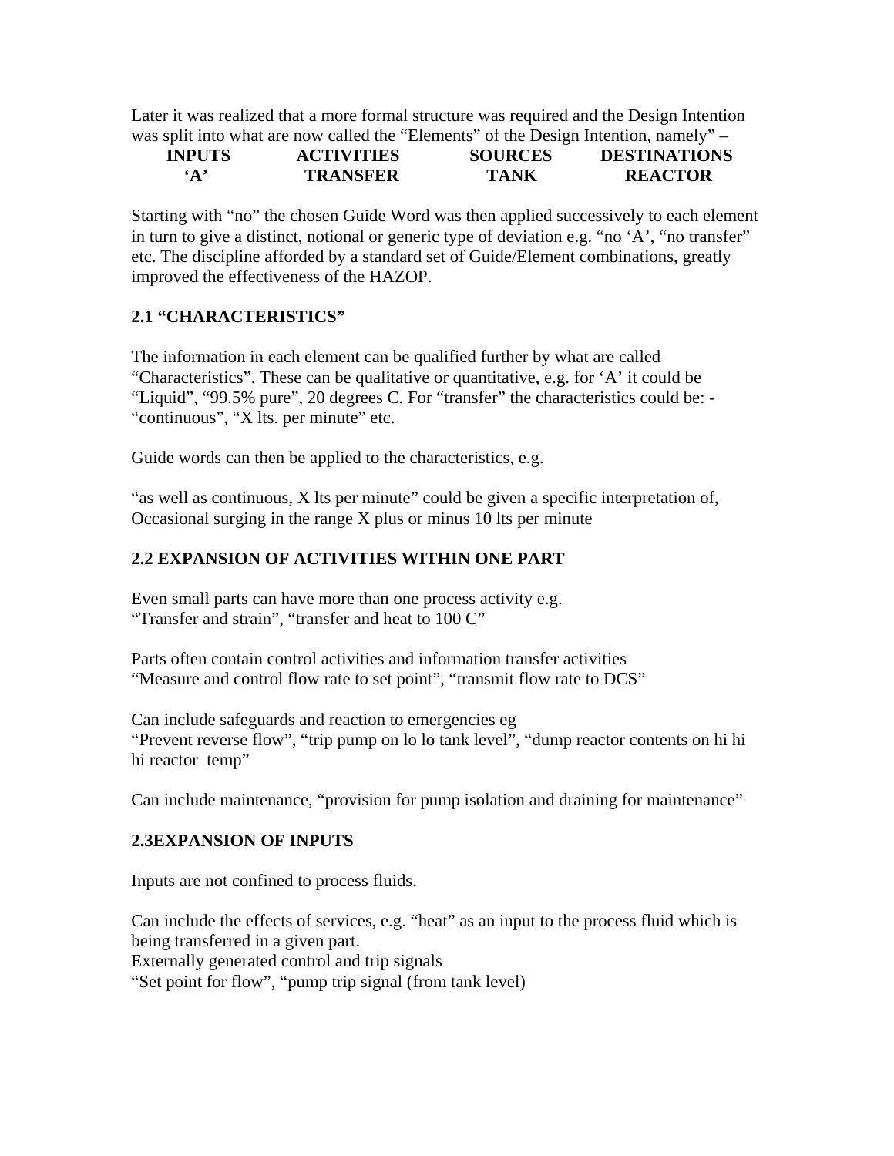Later it was realized that a more formal structure was required and the Design Intention was split into what are now called the "Elements" of the Design Intention, namely" –

| <b>INPUTS</b> | <b>ACTIVITIES</b> | <b>SOURCES</b> | <b>DESTINATIONS</b> |
|---------------|-------------------|----------------|---------------------|
| $\mathbf{A}$  | <b>TRANSFER</b>   | TANK           | <b>REACTOR</b>      |

Starting with "no" the chosen Guide Word was then applied successively to each element in turn to give a distinct, notional or generic type of deviation e.g. "no 'A', "no transfer" etc. The discipline afforded by a standard set of Guide/Element combinations, greatly improved the effectiveness of the HAZOP.

# **2.1 "CHARACTERISTICS"**

The information in each element can be qualified further by what are called "Characteristics". These can be qualitative or quantitative, e.g. for 'A' it could be "Liquid", "99.5% pure", 20 degrees C. For "transfer" the characteristics could be: - "continuous", "X lts. per minute" etc.

Guide words can then be applied to the characteristics, e.g.

"as well as continuous, X lts per minute" could be given a specific interpretation of, Occasional surging in the range X plus or minus 10 lts per minute

# **2.2 EXPANSION OF ACTIVITIES WITHIN ONE PART**

Even small parts can have more than one process activity e.g. "Transfer and strain", "transfer and heat to 100 C"

Parts often contain control activities and information transfer activities "Measure and control flow rate to set point", "transmit flow rate to DCS"

Can include safeguards and reaction to emergencies eg "Prevent reverse flow", "trip pump on lo lo tank level", "dump reactor contents on hi hi hi reactor temp"

Can include maintenance, "provision for pump isolation and draining for maintenance"

# **2.3EXPANSION OF INPUTS**

Inputs are not confined to process fluids.

Can include the effects of services, e.g. "heat" as an input to the process fluid which is being transferred in a given part. Externally generated control and trip signals "Set point for flow", "pump trip signal (from tank level)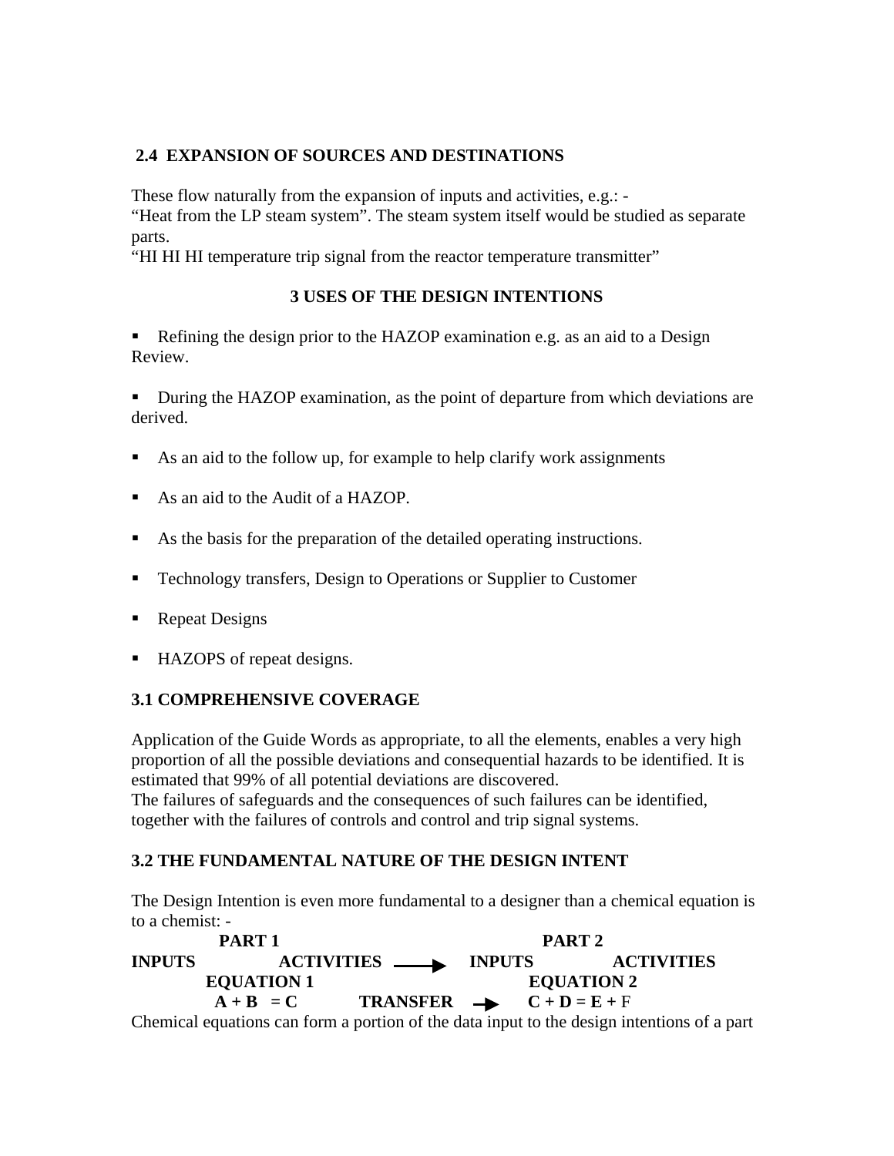# **2.4 EXPANSION OF SOURCES AND DESTINATIONS**

These flow naturally from the expansion of inputs and activities, e.g.: -

"Heat from the LP steam system". The steam system itself would be studied as separate parts.

"HI HI HI temperature trip signal from the reactor temperature transmitter"

# **3 USES OF THE DESIGN INTENTIONS**

Refining the design prior to the HAZOP examination e.g. as an aid to a Design Review.

 During the HAZOP examination, as the point of departure from which deviations are derived.

- As an aid to the follow up, for example to help clarify work assignments
- As an aid to the Audit of a HAZOP.
- As the basis for the preparation of the detailed operating instructions.
- Technology transfers, Design to Operations or Supplier to Customer
- Repeat Designs
- HAZOPS of repeat designs.

# **3.1 COMPREHENSIVE COVERAGE**

Application of the Guide Words as appropriate, to all the elements, enables a very high proportion of all the possible deviations and consequential hazards to be identified. It is estimated that 99% of all potential deviations are discovered.

The failures of safeguards and the consequences of such failures can be identified, together with the failures of controls and control and trip signal systems.

# **3.2 THE FUNDAMENTAL NATURE OF THE DESIGN INTENT**

The Design Intention is even more fundamental to a designer than a chemical equation is to a chemist: -

PART 1 PART 2 **INPUTS ACTIVITIES INPUTS ACTIVITIES EQUATION 1** EQUATION 2  $A + B = C$  **TRANSFER**  $\rightarrow$   $C + D = E + F$ Chemical equations can form a portion of the data input to the design intentions of a part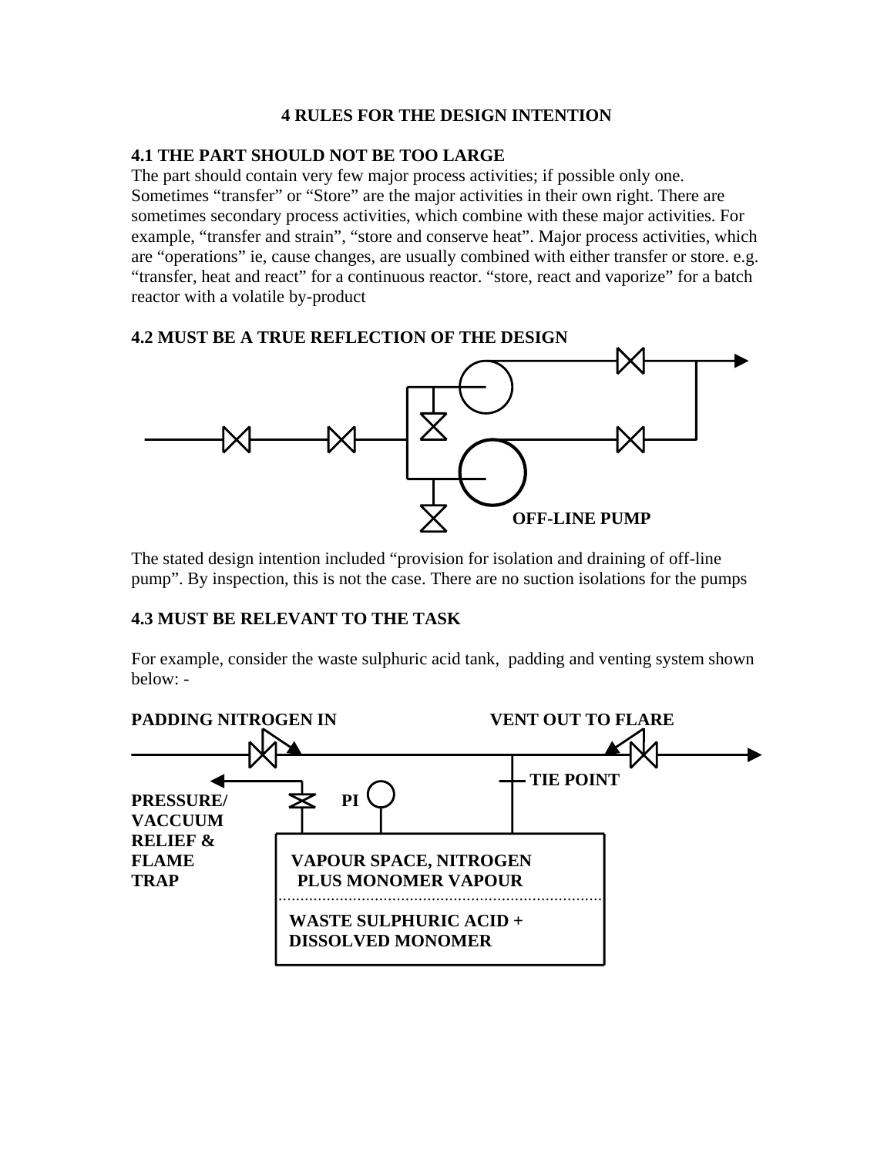### **4 RULES FOR THE DESIGN INTENTION**

#### **4.1 THE PART SHOULD NOT BE TOO LARGE**

The part should contain very few major process activities; if possible only one. Sometimes "transfer" or "Store" are the major activities in their own right. There are sometimes secondary process activities, which combine with these major activities. For example, "transfer and strain", "store and conserve heat". Major process activities, which are "operations" ie, cause changes, are usually combined with either transfer or store. e.g. "transfer, heat and react" for a continuous reactor. "store, react and vaporize" for a batch reactor with a volatile by-product

### **4.2 MUST BE A TRUE REFLECTION OF THE DESIGN**



The stated design intention included "provision for isolation and draining of off-line pump". By inspection, this is not the case. There are no suction isolations for the pumps

# **4.3 MUST BE RELEVANT TO THE TASK**

For example, consider the waste sulphuric acid tank, padding and venting system shown below: -

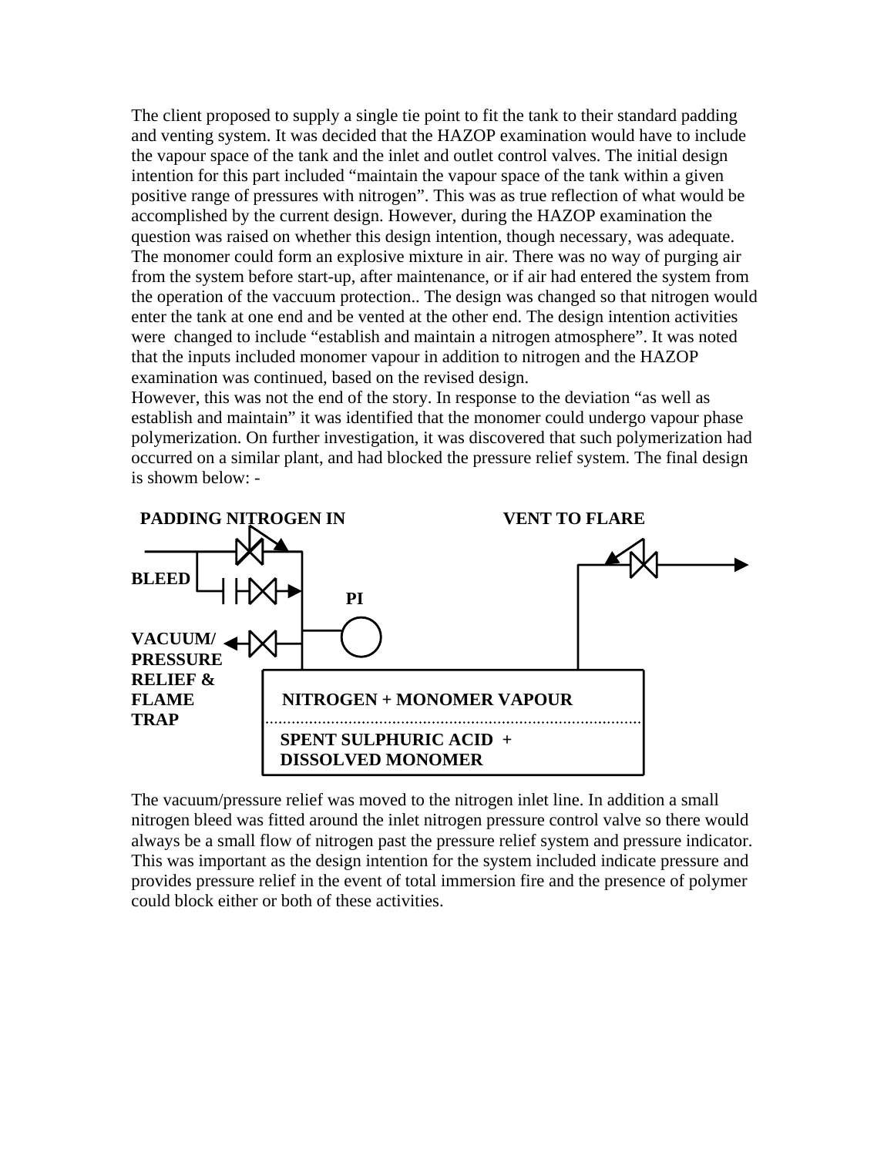The client proposed to supply a single tie point to fit the tank to their standard padding and venting system. It was decided that the HAZOP examination would have to include the vapour space of the tank and the inlet and outlet control valves. The initial design intention for this part included "maintain the vapour space of the tank within a given positive range of pressures with nitrogen". This was as true reflection of what would be accomplished by the current design. However, during the HAZOP examination the question was raised on whether this design intention, though necessary, was adequate. The monomer could form an explosive mixture in air. There was no way of purging air from the system before start-up, after maintenance, or if air had entered the system from the operation of the vaccuum protection.. The design was changed so that nitrogen would enter the tank at one end and be vented at the other end. The design intention activities were changed to include "establish and maintain a nitrogen atmosphere". It was noted that the inputs included monomer vapour in addition to nitrogen and the HAZOP examination was continued, based on the revised design.

However, this was not the end of the story. In response to the deviation "as well as establish and maintain" it was identified that the monomer could undergo vapour phase polymerization. On further investigation, it was discovered that such polymerization had occurred on a similar plant, and had blocked the pressure relief system. The final design is showm below: -



The vacuum/pressure relief was moved to the nitrogen inlet line. In addition a small nitrogen bleed was fitted around the inlet nitrogen pressure control valve so there would always be a small flow of nitrogen past the pressure relief system and pressure indicator. This was important as the design intention for the system included indicate pressure and provides pressure relief in the event of total immersion fire and the presence of polymer could block either or both of these activities.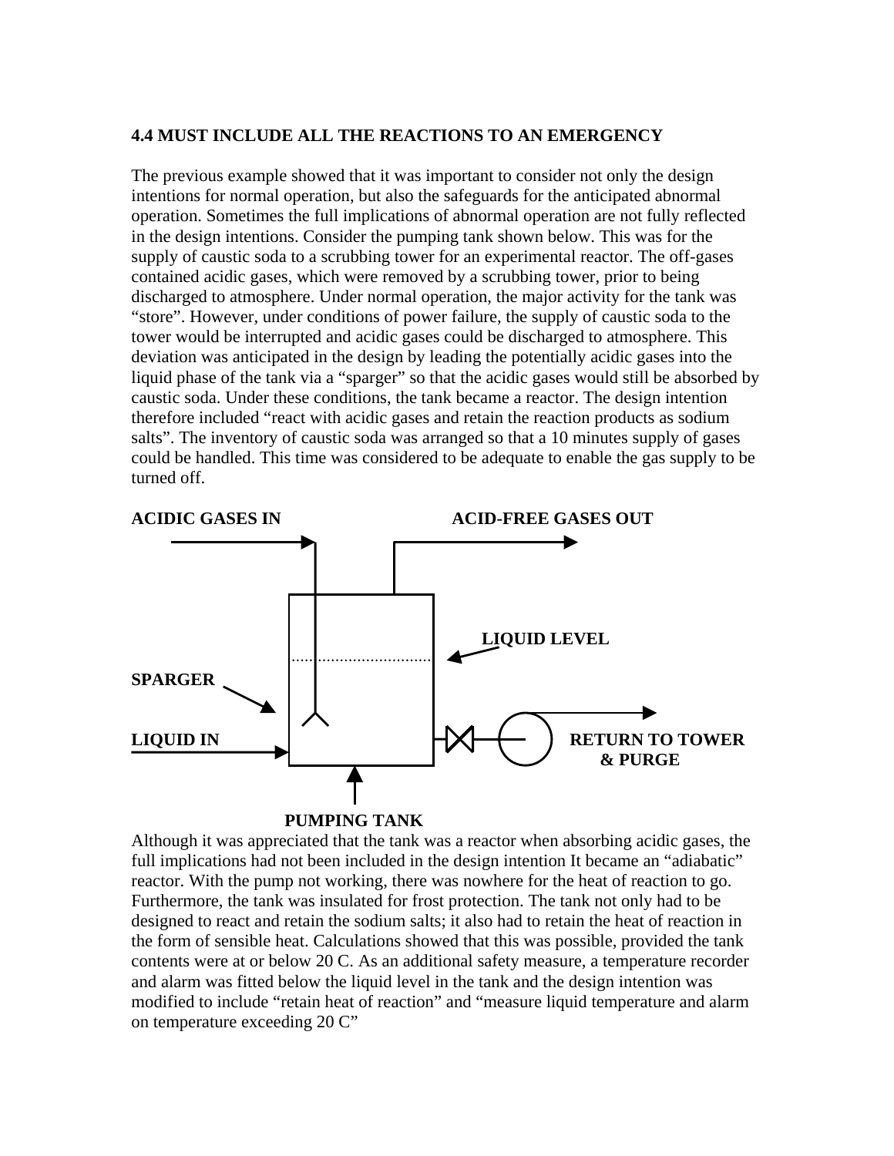#### **4.4 MUST INCLUDE ALL THE REACTIONS TO AN EMERGENCY**

The previous example showed that it was important to consider not only the design intentions for normal operation, but also the safeguards for the anticipated abnormal operation. Sometimes the full implications of abnormal operation are not fully reflected in the design intentions. Consider the pumping tank shown below. This was for the supply of caustic soda to a scrubbing tower for an experimental reactor. The off-gases contained acidic gases, which were removed by a scrubbing tower, prior to being discharged to atmosphere. Under normal operation, the major activity for the tank was "store". However, under conditions of power failure, the supply of caustic soda to the tower would be interrupted and acidic gases could be discharged to atmosphere. This deviation was anticipated in the design by leading the potentially acidic gases into the liquid phase of the tank via a "sparger" so that the acidic gases would still be absorbed by caustic soda. Under these conditions, the tank became a reactor. The design intention therefore included "react with acidic gases and retain the reaction products as sodium salts". The inventory of caustic soda was arranged so that a 10 minutes supply of gases could be handled. This time was considered to be adequate to enable the gas supply to be turned off.



Although it was appreciated that the tank was a reactor when absorbing acidic gases, the full implications had not been included in the design intention It became an "adiabatic" reactor. With the pump not working, there was nowhere for the heat of reaction to go. Furthermore, the tank was insulated for frost protection. The tank not only had to be designed to react and retain the sodium salts; it also had to retain the heat of reaction in the form of sensible heat. Calculations showed that this was possible, provided the tank contents were at or below 20 C. As an additional safety measure, a temperature recorder and alarm was fitted below the liquid level in the tank and the design intention was modified to include "retain heat of reaction" and "measure liquid temperature and alarm on temperature exceeding 20 C"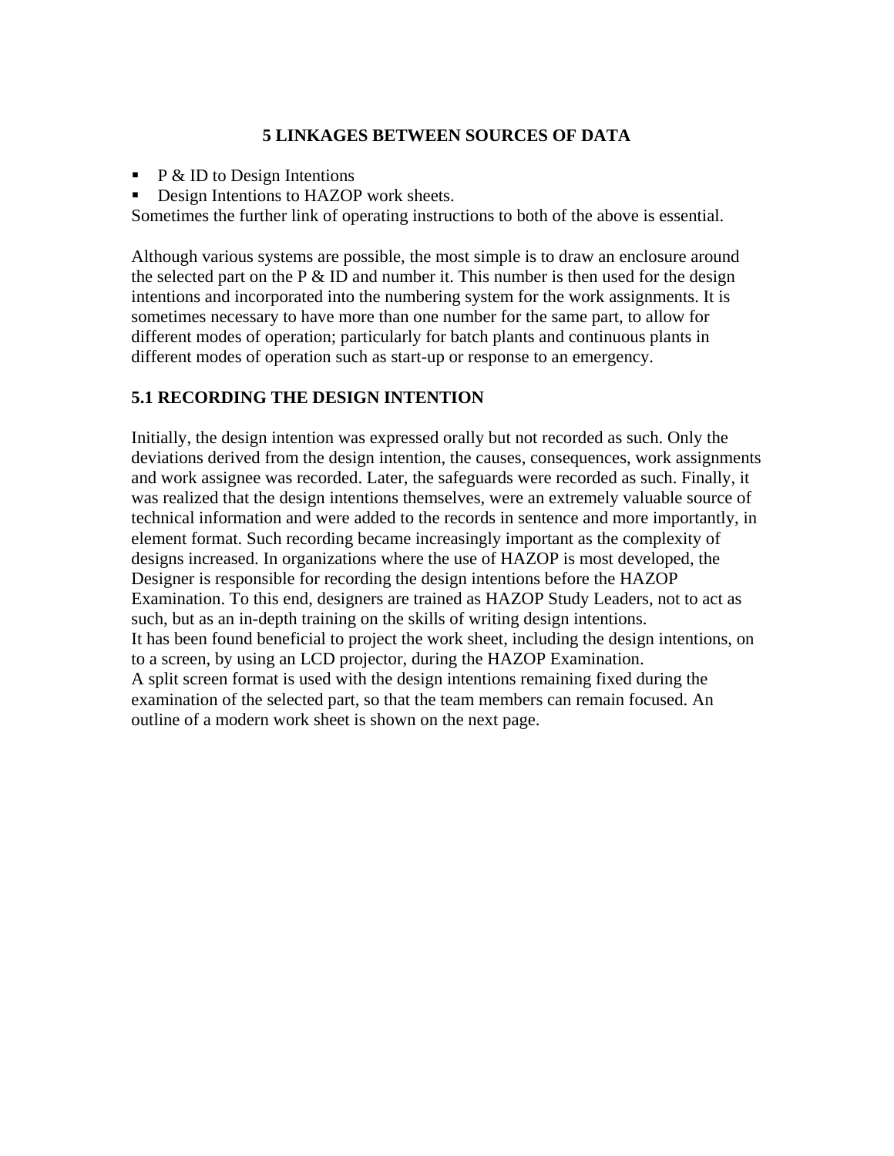# **5 LINKAGES BETWEEN SOURCES OF DATA**

- $\blacksquare$  P & ID to Design Intentions
- Design Intentions to HAZOP work sheets.

Sometimes the further link of operating instructions to both of the above is essential.

Although various systems are possible, the most simple is to draw an enclosure around the selected part on the  $P \& D$  and number it. This number is then used for the design intentions and incorporated into the numbering system for the work assignments. It is sometimes necessary to have more than one number for the same part, to allow for different modes of operation; particularly for batch plants and continuous plants in different modes of operation such as start-up or response to an emergency.

# **5.1 RECORDING THE DESIGN INTENTION**

Initially, the design intention was expressed orally but not recorded as such. Only the deviations derived from the design intention, the causes, consequences, work assignments and work assignee was recorded. Later, the safeguards were recorded as such. Finally, it was realized that the design intentions themselves, were an extremely valuable source of technical information and were added to the records in sentence and more importantly, in element format. Such recording became increasingly important as the complexity of designs increased. In organizations where the use of HAZOP is most developed, the Designer is responsible for recording the design intentions before the HAZOP Examination. To this end, designers are trained as HAZOP Study Leaders, not to act as such, but as an in-depth training on the skills of writing design intentions. It has been found beneficial to project the work sheet, including the design intentions, on to a screen, by using an LCD projector, during the HAZOP Examination. A split screen format is used with the design intentions remaining fixed during the examination of the selected part, so that the team members can remain focused. An outline of a modern work sheet is shown on the next page.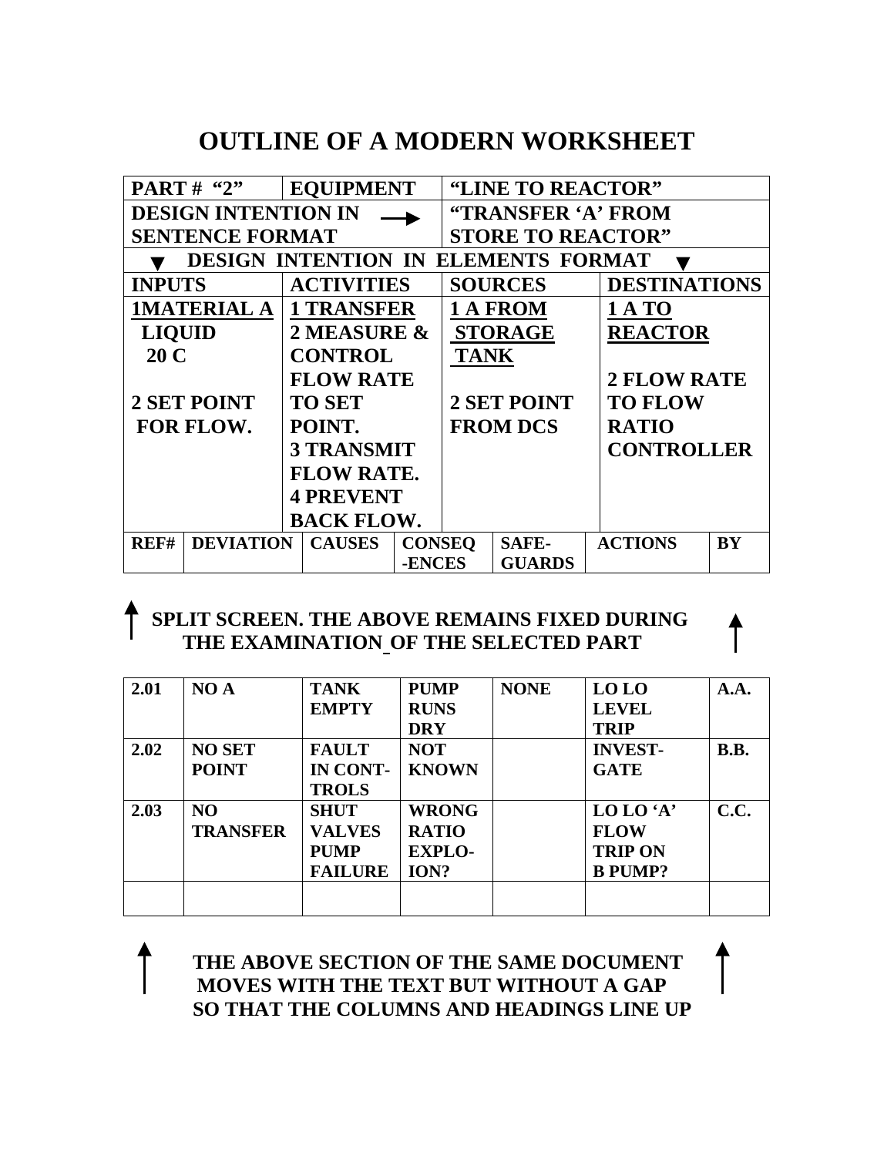# **OUTLINE OF A MODERN WORKSHEET**

| PART# "2"                                            | <b>EQUIPMENT</b>  |               |                          | "LINE TO REACTOR" |                     |    |  |
|------------------------------------------------------|-------------------|---------------|--------------------------|-------------------|---------------------|----|--|
| <b>DESIGN INTENTION IN</b>                           |                   |               | "TRANSFER 'A' FROM       |                   |                     |    |  |
| <b>SENTENCE FORMAT</b>                               |                   |               | <b>STORE TO REACTOR"</b> |                   |                     |    |  |
| <b>DESIGN INTENTION IN</b><br><b>ELEMENTS FORMAT</b> |                   |               |                          |                   |                     |    |  |
| <b>INPUTS</b>                                        | <b>ACTIVITIES</b> |               |                          | <b>SOURCES</b>    | <b>DESTINATIONS</b> |    |  |
| <b>IMATERIAL A</b>                                   | <b>1 TRANSFER</b> |               |                          | 1 A FROM          | <b>1 A TO</b>       |    |  |
| <b>LIQUID</b>                                        | 2 MEASURE &       |               |                          | <b>STORAGE</b>    | <b>REACTOR</b>      |    |  |
| 20 C                                                 | <b>CONTROL</b>    |               | <b>TANK</b>              |                   |                     |    |  |
|                                                      | <b>FLOW RATE</b>  |               |                          |                   | <b>2 FLOW RATE</b>  |    |  |
| <b>2 SET POINT</b>                                   | <b>TO SET</b>     |               |                          | 2 SET POINT       | <b>TO FLOW</b>      |    |  |
| FOR FLOW.                                            | POINT.            |               |                          | <b>FROM DCS</b>   | <b>RATIO</b>        |    |  |
|                                                      | <b>3 TRANSMIT</b> |               |                          |                   | <b>CONTROLLER</b>   |    |  |
|                                                      | <b>FLOW RATE.</b> |               |                          |                   |                     |    |  |
|                                                      | <b>4 PREVENT</b>  |               |                          |                   |                     |    |  |
| <b>BACK FLOW.</b>                                    |                   |               |                          |                   |                     |    |  |
| REF#<br><b>DEVIATION</b>                             | <b>CAUSES</b>     | <b>CONSEQ</b> |                          | <b>SAFE-</b>      | <b>ACTIONS</b>      | BY |  |
|                                                      |                   | <b>-ENCES</b> |                          | <b>GUARDS</b>     |                     |    |  |

# **SPLIT SCREEN. THE ABOVE REMAINS FIXED DURING THE EXAMINATION OF THE SELECTED PART**

| 2.01 | NO A            | <b>TANK</b>    | <b>PUMP</b>   | <b>NONE</b> | LO LO          | A.A. |
|------|-----------------|----------------|---------------|-------------|----------------|------|
|      |                 | <b>EMPTY</b>   | <b>RUNS</b>   |             | <b>LEVEL</b>   |      |
|      |                 |                | <b>DRY</b>    |             | <b>TRIP</b>    |      |
| 2.02 | <b>NO SET</b>   | <b>FAULT</b>   | <b>NOT</b>    |             | <b>INVEST-</b> | B.B. |
|      | <b>POINT</b>    | IN CONT-       | <b>KNOWN</b>  |             | <b>GATE</b>    |      |
|      |                 | <b>TROLS</b>   |               |             |                |      |
| 2.03 | NO              | <b>SHUT</b>    | <b>WRONG</b>  |             | LO LO 'A'      | C.C. |
|      | <b>TRANSFER</b> | <b>VALVES</b>  | <b>RATIO</b>  |             | <b>FLOW</b>    |      |
|      |                 | <b>PUMP</b>    | <b>EXPLO-</b> |             | <b>TRIP ON</b> |      |
|      |                 | <b>FAILURE</b> | ION?          |             | <b>B PUMP?</b> |      |
|      |                 |                |               |             |                |      |
|      |                 |                |               |             |                |      |

 **THE ABOVE SECTION OF THE SAME DOCUMENT MOVES WITH THE TEXT BUT WITHOUT A GAP SO THAT THE COLUMNS AND HEADINGS LINE UP**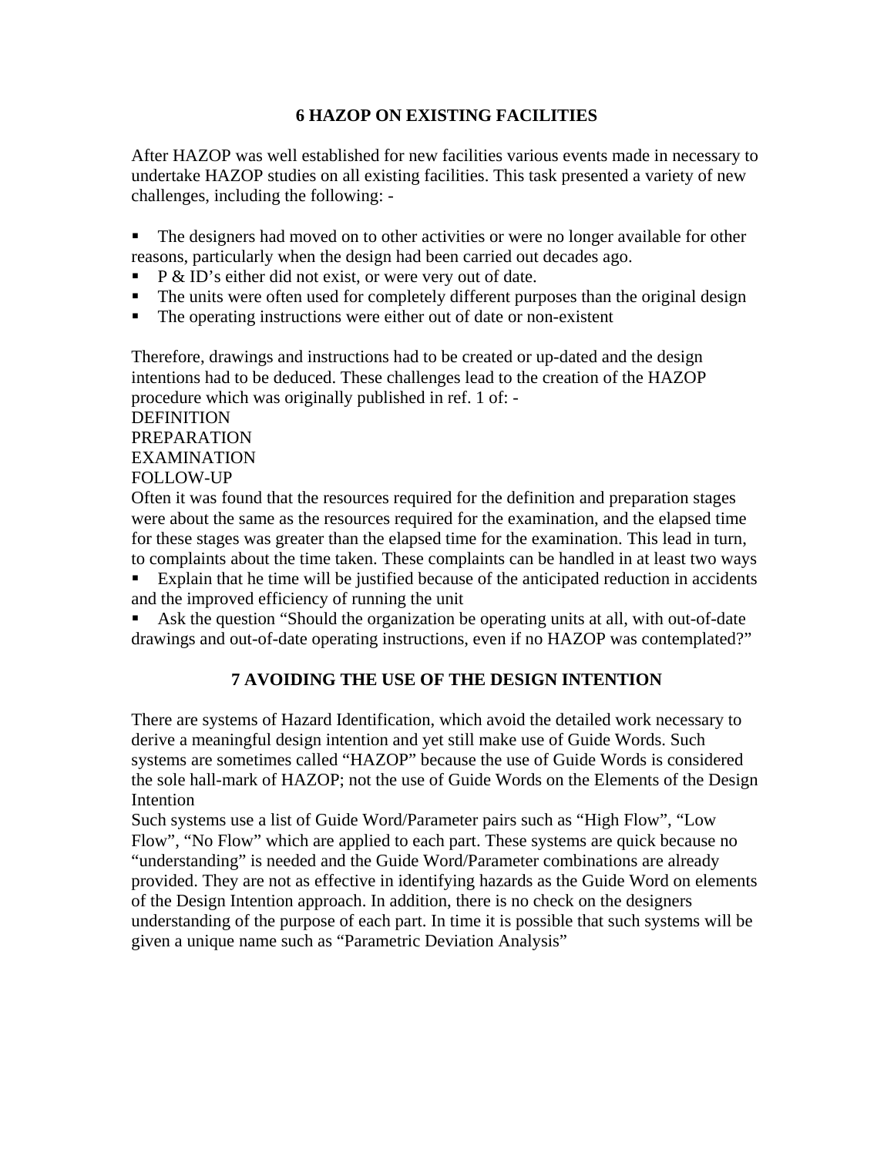# **6 HAZOP ON EXISTING FACILITIES**

After HAZOP was well established for new facilities various events made in necessary to undertake HAZOP studies on all existing facilities. This task presented a variety of new challenges, including the following: -

 The designers had moved on to other activities or were no longer available for other reasons, particularly when the design had been carried out decades ago.

- $\blacksquare$  P & ID's either did not exist, or were very out of date.
- The units were often used for completely different purposes than the original design
- The operating instructions were either out of date or non-existent

Therefore, drawings and instructions had to be created or up-dated and the design intentions had to be deduced. These challenges lead to the creation of the HAZOP procedure which was originally published in ref. 1 of: -

# DEFINITION PREPARATION EXAMINATION FOLLOW-UP

Often it was found that the resources required for the definition and preparation stages were about the same as the resources required for the examination, and the elapsed time for these stages was greater than the elapsed time for the examination. This lead in turn, to complaints about the time taken. These complaints can be handled in at least two ways

 Explain that he time will be justified because of the anticipated reduction in accidents and the improved efficiency of running the unit

 Ask the question "Should the organization be operating units at all, with out-of-date drawings and out-of-date operating instructions, even if no HAZOP was contemplated?"

# **7 AVOIDING THE USE OF THE DESIGN INTENTION**

There are systems of Hazard Identification, which avoid the detailed work necessary to derive a meaningful design intention and yet still make use of Guide Words. Such systems are sometimes called "HAZOP" because the use of Guide Words is considered the sole hall-mark of HAZOP; not the use of Guide Words on the Elements of the Design Intention

Such systems use a list of Guide Word/Parameter pairs such as "High Flow", "Low Flow", "No Flow" which are applied to each part. These systems are quick because no "understanding" is needed and the Guide Word/Parameter combinations are already provided. They are not as effective in identifying hazards as the Guide Word on elements of the Design Intention approach. In addition, there is no check on the designers understanding of the purpose of each part. In time it is possible that such systems will be given a unique name such as "Parametric Deviation Analysis"